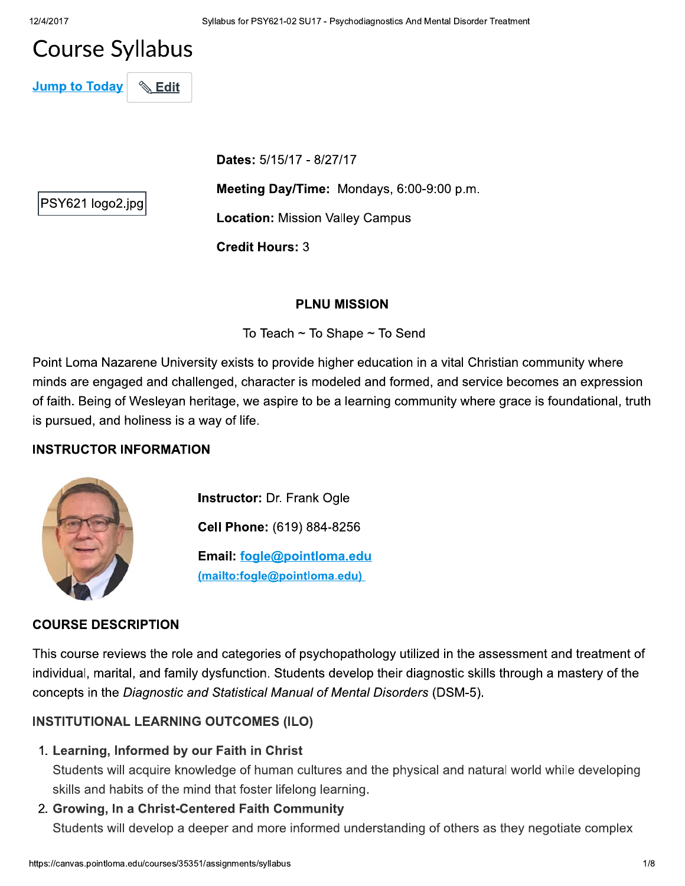# **Course Syllabus**

**Jump to Today**  $\mathbb{\mathbb{S}}$  Edit

Dates: 5/15/17 - 8/27/17

PSY621 logo2.jpg

Meeting Day/Time: Mondays, 6:00-9:00 p.m.

**Location: Mission Valley Campus** 

**Credit Hours: 3** 

## **PLNU MISSION**

To Teach  $\sim$  To Shape  $\sim$  To Send

Point Loma Nazarene University exists to provide higher education in a vital Christian community where minds are engaged and challenged, character is modeled and formed, and service becomes an expression of faith. Being of Wesleyan heritage, we aspire to be a learning community where grace is foundational, truth is pursued, and holiness is a way of life.

## **INSTRUCTOR INFORMATION**



**Instructor: Dr. Frank Ogle** 

Cell Phone: (619) 884-8256

Email: fogle@pointloma.edu (mailto:fogle@pointloma.edu)

## **COURSE DESCRIPTION**

This course reviews the role and categories of psychopathology utilized in the assessment and treatment of individual, marital, and family dysfunction. Students develop their diagnostic skills through a mastery of the concepts in the Diagnostic and Statistical Manual of Mental Disorders (DSM-5).

## **INSTITUTIONAL LEARNING OUTCOMES (ILO)**

1. Learning, Informed by our Faith in Christ

Students will acquire knowledge of human cultures and the physical and natural world while developing skills and habits of the mind that foster lifelong learning.

2. Growing, In a Christ-Centered Faith Community Students will develop a deeper and more informed understanding of others as they negotiate complex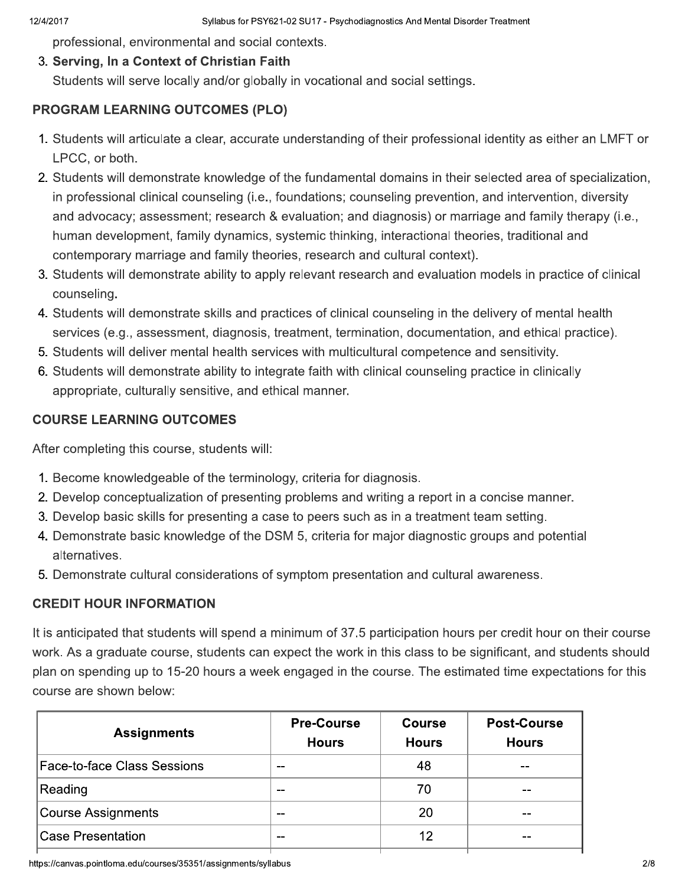professional, environmental and social contexts.

## 3. Serving, In a Context of Christian Faith

Students will serve locally and/or globally in vocational and social settings.

## **PROGRAM LEARNING OUTCOMES (PLO)**

- 1. Students will articulate a clear, accurate understanding of their professional identity as either an LMFT or LPCC, or both.
- 2. Students will demonstrate knowledge of the fundamental domains in their selected area of specialization, in professional clinical counseling (i.e., foundations; counseling prevention, and intervention, diversity and advocacy; assessment; research & evaluation; and diagnosis) or marriage and family therapy (i.e., human development, family dynamics, systemic thinking, interactional theories, traditional and contemporary marriage and family theories, research and cultural context).
- 3. Students will demonstrate ability to apply relevant research and evaluation models in practice of clinical counseling.
- 4. Students will demonstrate skills and practices of clinical counseling in the delivery of mental health services (e.g., assessment, diagnosis, treatment, termination, documentation, and ethical practice).
- 5. Students will deliver mental health services with multicultural competence and sensitivity.
- 6. Students will demonstrate ability to integrate faith with clinical counseling practice in clinically appropriate, culturally sensitive, and ethical manner.

# **COURSE LEARNING OUTCOMES**

After completing this course, students will:

- 1. Become knowledgeable of the terminology, criteria for diagnosis.
- 2. Develop conceptualization of presenting problems and writing a report in a concise manner.
- 3. Develop basic skills for presenting a case to peers such as in a treatment team setting.
- 4. Demonstrate basic knowledge of the DSM 5, criteria for major diagnostic groups and potential alternatives.
- 5. Demonstrate cultural considerations of symptom presentation and cultural awareness.

## **CREDIT HOUR INFORMATION**

It is anticipated that students will spend a minimum of 37.5 participation hours per credit hour on their course work. As a graduate course, students can expect the work in this class to be significant, and students should plan on spending up to 15-20 hours a week engaged in the course. The estimated time expectations for this course are shown below:

| <b>Assignments</b>                 | <b>Pre-Course</b><br><b>Hours</b> | <b>Course</b><br><b>Hours</b> | <b>Post-Course</b><br><b>Hours</b> |
|------------------------------------|-----------------------------------|-------------------------------|------------------------------------|
| <b>Face-to-face Class Sessions</b> | --                                | 48                            | --                                 |
| Reading                            | --                                | 70                            |                                    |
| Course Assignments                 | --                                | 20                            | --                                 |
| <b>Case Presentation</b>           | --                                | 12                            |                                    |
|                                    |                                   |                               |                                    |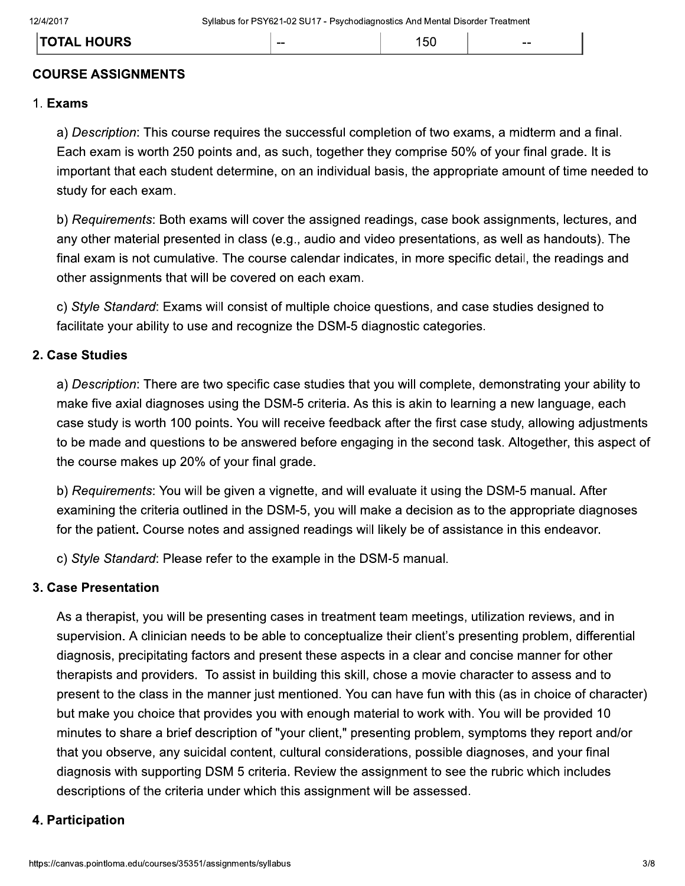| . HOURS      | -- | ີ | $- -$ |
|--------------|----|---|-------|
| <b>TOTAL</b> |    |   |       |
|              |    |   |       |

## **COURSE ASSIGNMENTS**

#### 1. Exams

a) Description: This course requires the successful completion of two exams, a midterm and a final. Each exam is worth 250 points and, as such, together they comprise 50% of your final grade. It is important that each student determine, on an individual basis, the appropriate amount of time needed to study for each exam.

b) Requirements: Both exams will cover the assigned readings, case book assignments, lectures, and any other material presented in class (e.g., audio and video presentations, as well as handouts). The final exam is not cumulative. The course calendar indicates, in more specific detail, the readings and other assignments that will be covered on each exam.

c) Style Standard: Exams will consist of multiple choice questions, and case studies designed to facilitate your ability to use and recognize the DSM-5 diagnostic categories.

#### 2. Case Studies

a) Description: There are two specific case studies that you will complete, demonstrating your ability to make five axial diagnoses using the DSM-5 criteria. As this is akin to learning a new language, each case study is worth 100 points. You will receive feedback after the first case study, allowing adjustments to be made and questions to be answered before engaging in the second task. Altogether, this aspect of the course makes up 20% of your final grade.

b) Requirements: You will be given a vignette, and will evaluate it using the DSM-5 manual. After examining the criteria outlined in the DSM-5, you will make a decision as to the appropriate diagnoses for the patient. Course notes and assigned readings will likely be of assistance in this endeavor.

c) Style Standard: Please refer to the example in the DSM-5 manual.

#### 3. Case Presentation

As a therapist, you will be presenting cases in treatment team meetings, utilization reviews, and in supervision. A clinician needs to be able to conceptualize their client's presenting problem, differential diagnosis, precipitating factors and present these aspects in a clear and concise manner for other therapists and providers. To assist in building this skill, chose a movie character to assess and to present to the class in the manner just mentioned. You can have fun with this (as in choice of character) but make you choice that provides you with enough material to work with. You will be provided 10 minutes to share a brief description of "your client," presenting problem, symptoms they report and/or that you observe, any suicidal content, cultural considerations, possible diagnoses, and your final diagnosis with supporting DSM 5 criteria. Review the assignment to see the rubric which includes descriptions of the criteria under which this assignment will be assessed.

#### 4. Participation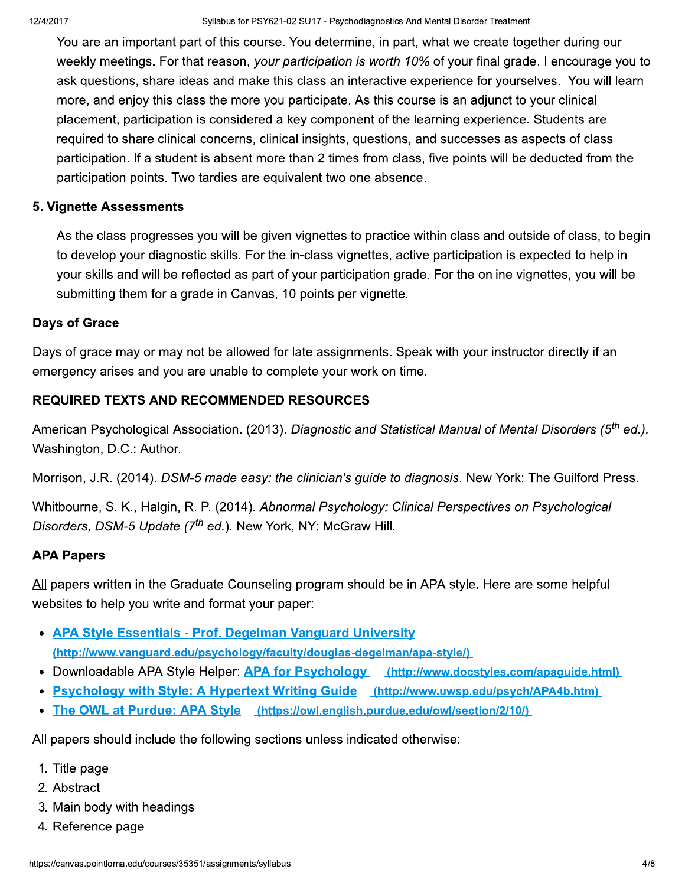You are an important part of this course. You determine, in part, what we create together during our weekly meetings. For that reason, your participation is worth 10% of your final grade. I encourage you to ask questions, share ideas and make this class an interactive experience for yourselves. You will learn more, and enjoy this class the more you participate. As this course is an adjunct to your clinical placement, participation is considered a key component of the learning experience. Students are required to share clinical concerns, clinical insights, questions, and successes as aspects of class participation. If a student is absent more than 2 times from class, five points will be deducted from the participation points. Two tardies are equivalent two one absence.

## **5. Vignette Assessments**

As the class progresses you will be given vignettes to practice within class and outside of class, to begin to develop your diagnostic skills. For the in-class vignettes, active participation is expected to help in your skills and will be reflected as part of your participation grade. For the online vignettes, you will be submitting them for a grade in Canvas, 10 points per vignette.

## **Days of Grace**

Days of grace may or may not be allowed for late assignments. Speak with your instructor directly if an emergency arises and you are unable to complete your work on time.

## **REQUIRED TEXTS AND RECOMMENDED RESOURCES**

American Psychological Association. (2013). Diagnostic and Statistical Manual of Mental Disorders (5<sup>th</sup> ed.). Washington, D.C.: Author.

Morrison, J.R. (2014). DSM-5 made easy: the clinician's guide to diagnosis. New York: The Guilford Press.

Whitbourne, S. K., Halgin, R. P. (2014). Abnormal Psychology: Clinical Perspectives on Psychological Disorders, DSM-5 Update (7<sup>th</sup> ed.). New York, NY: McGraw Hill.

## **APA Papers**

All papers written in the Graduate Counseling program should be in APA style. Here are some helpful websites to help you write and format your paper:

- APA Style Essentials Prof. Degelman Vanguard University (http://www.vanguard.edu/psychology/faculty/douglas-degelman/apa-style/)
- Downloadable APA Style Helper: APA for Psychology (http://www.docstyles.com/apaguide.html)
- Psychology with Style: A Hypertext Writing Guide (http://www.uwsp.edu/psych/APA4b.htm)
- The OWL at Purdue: APA Style (https://owl.english.purdue.edu/owl/section/2/10/)

All papers should include the following sections unless indicated otherwise:

- 1. Title page
- 2. Abstract
- 3. Main body with headings
- 4. Reference page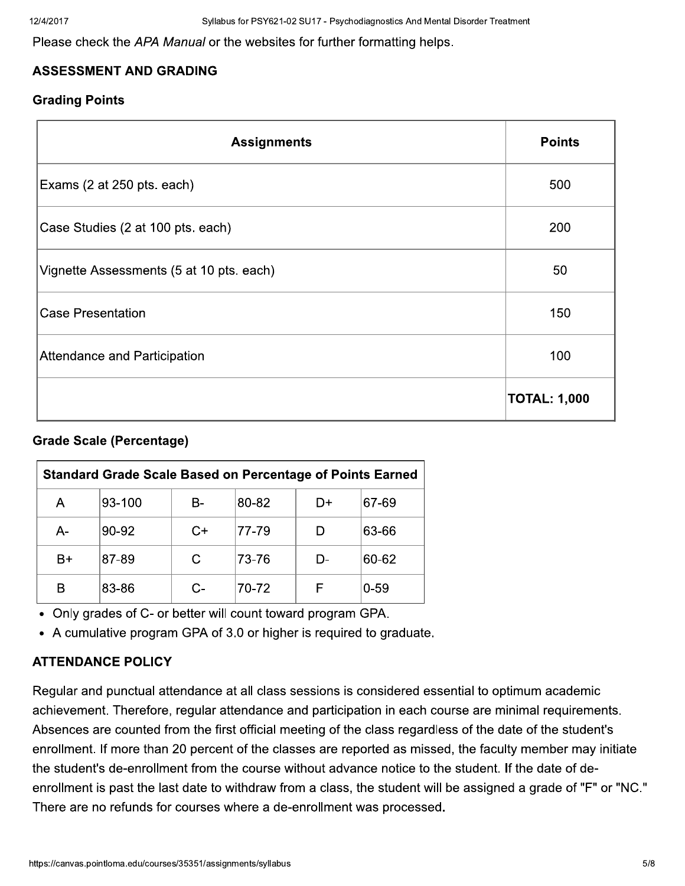Please check the APA Manual or the websites for further formatting helps.

## **ASSESSMENT AND GRADING**

### **Grading Points**

| <b>Assignments</b>                       | <b>Points</b>       |
|------------------------------------------|---------------------|
| Exams (2 at 250 pts. each)               | 500                 |
| Case Studies (2 at 100 pts. each)        | 200                 |
| Vignette Assessments (5 at 10 pts. each) | 50                  |
| <b>Case Presentation</b>                 | 150                 |
| Attendance and Participation             | 100                 |
|                                          | <b>TOTAL: 1,000</b> |

## **Grade Scale (Percentage)**

| <b>Standard Grade Scale Based on Percentage of Points Earned</b> |        |      |        |    |          |
|------------------------------------------------------------------|--------|------|--------|----|----------|
| Α                                                                | 93-100 | B-   | 80-82  | D+ | 67-69    |
| A-                                                               | 90-92  | $C+$ | 177-79 |    | 63-66    |
| B+                                                               | 87-89  |      | 73-76  | D- | 60-62    |
| в                                                                | 83-86  |      | 70-72  |    | $0 - 59$ |

• Only grades of C- or better will count toward program GPA.

• A cumulative program GPA of 3.0 or higher is required to graduate.

## **ATTENDANCE POLICY**

Regular and punctual attendance at all class sessions is considered essential to optimum academic achievement. Therefore, regular attendance and participation in each course are minimal requirements. Absences are counted from the first official meeting of the class regardless of the date of the student's enrollment. If more than 20 percent of the classes are reported as missed, the faculty member may initiate the student's de-enrollment from the course without advance notice to the student. If the date of deenrollment is past the last date to withdraw from a class, the student will be assigned a grade of "F" or "NC." There are no refunds for courses where a de-enrollment was processed.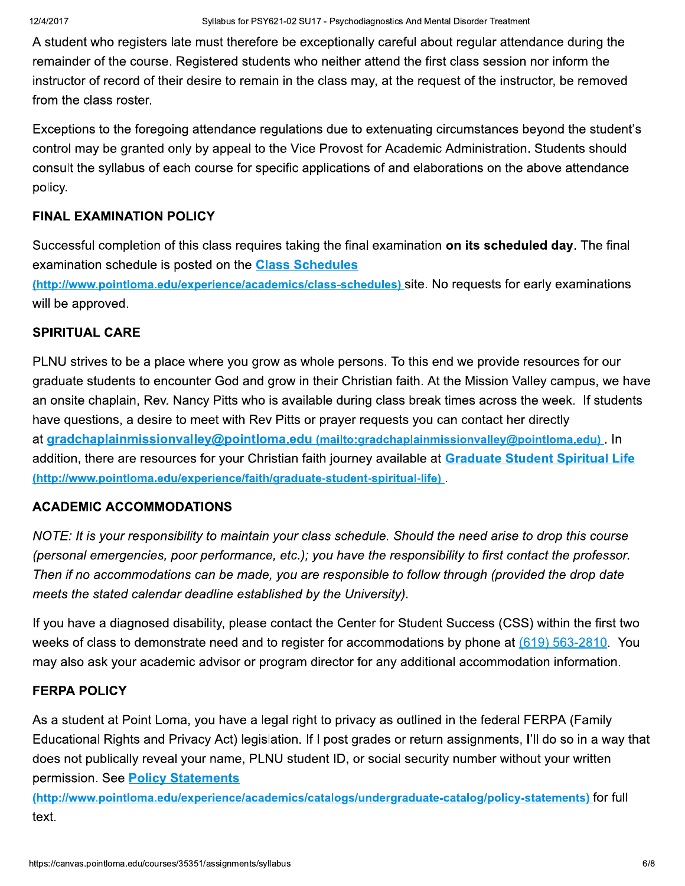A student who registers late must therefore be exceptionally careful about regular attendance during the remainder of the course. Registered students who neither attend the first class session nor inform the instructor of record of their desire to remain in the class may, at the request of the instructor, be removed from the class roster.

Exceptions to the foregoing attendance regulations due to extenuating circumstances beyond the student's control may be granted only by appeal to the Vice Provost for Academic Administration. Students should consult the syllabus of each course for specific applications of and elaborations on the above attendance policy.

## **FINAL EXAMINATION POLICY**

Successful completion of this class requires taking the final examination on its scheduled day. The final examination schedule is posted on the **Class Schedules** 

(http://www.pointloma.edu/experience/academics/class-schedules) site. No requests for early examinations will be approved.

## **SPIRITUAL CARE**

PLNU strives to be a place where you grow as whole persons. To this end we provide resources for our graduate students to encounter God and grow in their Christian faith. At the Mission Valley campus, we have an onsite chaplain, Rev. Nancy Pitts who is available during class break times across the week. If students have questions, a desire to meet with Rev Pitts or prayer requests you can contact her directly at gradchaplainmissionvalley@pointloma.edu (mailto:gradchaplainmissionvalley@pointloma.edu). In addition, there are resources for your Christian faith journey available at Graduate Student Spiritual Life (http://www.pointloma.edu/experience/faith/graduate-student-spiritual-life)

#### **ACADEMIC ACCOMMODATIONS**

NOTE: It is your responsibility to maintain your class schedule. Should the need arise to drop this course (personal emergencies, poor performance, etc.); you have the responsibility to first contact the professor. Then if no accommodations can be made, you are responsible to follow through (provided the drop date meets the stated calendar deadline established by the University).

If you have a diagnosed disability, please contact the Center for Student Success (CSS) within the first two weeks of class to demonstrate need and to register for accommodations by phone at (619) 563-2810. You may also ask your academic advisor or program director for any additional accommodation information.

#### **FERPA POLICY**

As a student at Point Loma, you have a legal right to privacy as outlined in the federal FERPA (Family Educational Rights and Privacy Act) legislation. If I post grades or return assignments, I'll do so in a way that does not publically reveal your name, PLNU student ID, or social security number without your written permission. See Policy Statements

(http://www.pointloma.edu/experience/academics/catalogs/undergraduate-catalog/policy-statements) for full text.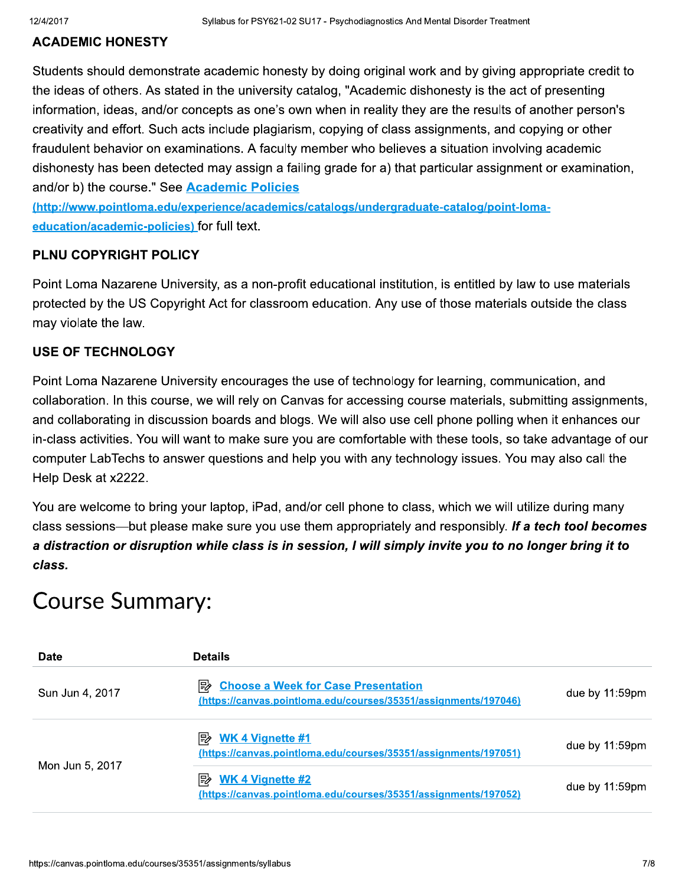### **ACADEMIC HONESTY**

Students should demonstrate academic honesty by doing original work and by giving appropriate credit to the ideas of others. As stated in the university catalog, "Academic dishonesty is the act of presenting information, ideas, and/or concepts as one's own when in reality they are the results of another person's creativity and effort. Such acts include plagiarism, copying of class assignments, and copying or other fraudulent behavior on examinations. A faculty member who believes a situation involving academic dishonesty has been detected may assign a failing grade for a) that particular assignment or examination, and/or b) the course." See Academic Policies

(http://www.pointloma.edu/experience/academics/catalogs/undergraduate-catalog/point-lomaeducation/academic-policies) for full text.

### PLNU COPYRIGHT POLICY

Point Loma Nazarene University, as a non-profit educational institution, is entitled by law to use materials protected by the US Copyright Act for classroom education. Any use of those materials outside the class may violate the law.

### **USE OF TECHNOLOGY**

Point Loma Nazarene University encourages the use of technology for learning, communication, and collaboration. In this course, we will rely on Canvas for accessing course materials, submitting assignments, and collaborating in discussion boards and blogs. We will also use cell phone polling when it enhances our in-class activities. You will want to make sure you are comfortable with these tools, so take advantage of our computer LabTechs to answer questions and help you with any technology issues. You may also call the Help Desk at x2222.

You are welcome to bring your laptop, iPad, and/or cell phone to class, which we will utilize during many class sessions—but please make sure you use them appropriately and responsibly. If a tech tool becomes a distraction or disruption while class is in session, I will simply invite you to no longer bring it to class.

# **Course Summary:**

| <b>Date</b>     | <b>Details</b>                                                                                                     |                   |
|-----------------|--------------------------------------------------------------------------------------------------------------------|-------------------|
| Sun Jun 4, 2017 | 眇<br><b>Choose a Week for Case Presentation</b><br>(https://canvas.pointloma.edu/courses/35351/assignments/197046) | due by $11:59$ pm |
| Mon Jun 5, 2017 | <b>WK 4 Vignette #1</b><br>眕<br>(https://canvas.pointloma.edu/courses/35351/assignments/197051)                    | due by $11:59$ pm |
|                 | <b>WK 4 Vignette #2</b><br>眕<br>(https://canvas.pointloma.edu/courses/35351/assignments/197052)                    | due by $11:59$ pm |